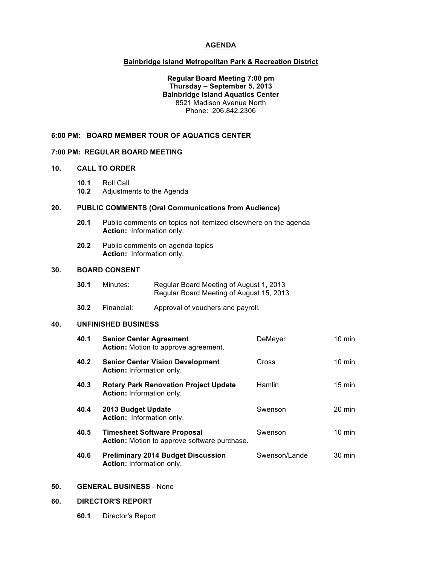## **AGENDA**

#### **Bainbridge Island Metropolitan Park & Recreation District**

### **Regular Board Meeting 7:00 pm Thursday – September 5, 2013 Bainbridge Island Aquatics Center** 8521 Madison Avenue North Phone: 206.842.2306

### **6:00 PM: BOARD MEMBER TOUR OF AQUATICS CENTER**

#### **7:00 PM: REGULAR BOARD MEETING**

### **10. CALL TO ORDER**

**10.1** Roll Call

**10.2** Adjustments to the Agenda

# **20. PUBLIC COMMENTS (Oral Communications from Audience)**

- **20.1** Public comments on topics not itemized elsewhere on the agenda **Action:** Information only.
- **20.2** Public comments on agenda topics **Action:** Information only.

#### **30. BOARD CONSENT**

- **30.1** Minutes: Regular Board Meeting of August 1, 2013 Regular Board Meeting of August 15, 2013
- **30.2** Financial: Approval of vouchers and payroll.

#### **40. UNFINISHED BUSINESS**

| 40.1 | <b>Senior Center Agreement</b><br><b>Action:</b> Motion to approve agreement.      | DeMeyer       | $10 \text{ min}$ |
|------|------------------------------------------------------------------------------------|---------------|------------------|
| 40.2 | <b>Senior Center Vision Development</b><br><b>Action:</b> Information only.        | Cross         | $10 \text{ min}$ |
| 40.3 | <b>Rotary Park Renovation Project Update</b><br><b>Action:</b> Information only.   | Hamlin        | $15 \text{ min}$ |
| 40.4 | 2013 Budget Update<br><b>Action:</b> Information only.                             | Swenson       | $20 \text{ min}$ |
| 40.5 | <b>Timesheet Software Proposal</b><br>Action: Motion to approve software purchase. | Swenson       | $10 \text{ min}$ |
| 40.6 | <b>Preliminary 2014 Budget Discussion</b><br><b>Action:</b> Information only.      | Swenson/Lande | $30 \text{ min}$ |

# **50. GENERAL BUSINESS** - None

#### **60. DIRECTOR'S REPORT**

**60.1** Director's Report